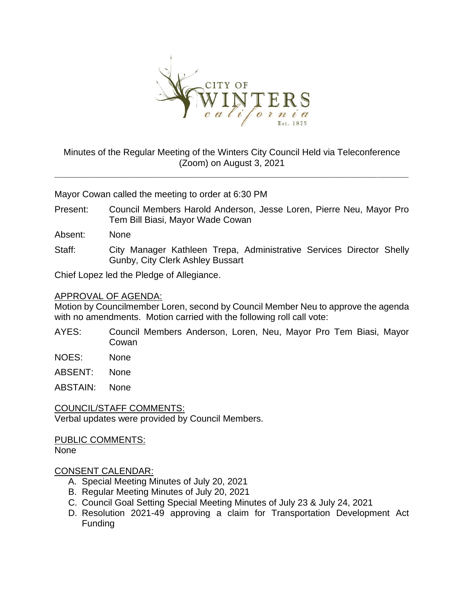

## Minutes of the Regular Meeting of the Winters City Council Held via Teleconference (Zoom) on August 3, 2021

**\_\_\_\_\_\_\_\_\_\_\_\_\_\_\_\_\_\_\_\_\_\_\_\_\_\_\_\_\_\_\_\_\_\_\_\_\_\_\_\_\_\_\_\_\_\_\_\_\_\_\_\_\_\_\_\_\_\_\_\_\_\_\_\_\_\_\_\_\_\_**

Mayor Cowan called the meeting to order at 6:30 PM

- Present: Council Members Harold Anderson, Jesse Loren, Pierre Neu, Mayor Pro Tem Bill Biasi, Mayor Wade Cowan
- Absent: None
- Staff: City Manager Kathleen Trepa, Administrative Services Director Shelly Gunby, City Clerk Ashley Bussart

Chief Lopez led the Pledge of Allegiance.

### APPROVAL OF AGENDA:

Motion by Councilmember Loren, second by Council Member Neu to approve the agenda with no amendments. Motion carried with the following roll call vote:

- AYES: Council Members Anderson, Loren, Neu, Mayor Pro Tem Biasi, Mayor Cowan
- NOES: None
- ABSENT: None

ABSTAIN: None

COUNCIL/STAFF COMMENTS: Verbal updates were provided by Council Members.

PUBLIC COMMENTS: None

### CONSENT CALENDAR:

- A. Special Meeting Minutes of July 20, 2021
- B. Regular Meeting Minutes of July 20, 2021
- C. Council Goal Setting Special Meeting Minutes of July 23 & July 24, 2021
- D. Resolution 2021-49 approving a claim for Transportation Development Act **Funding**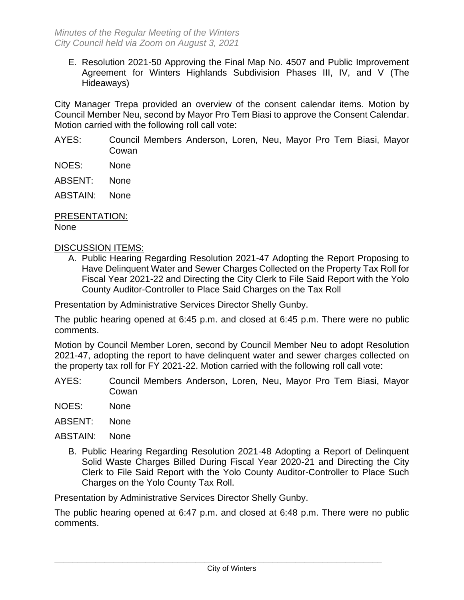E. Resolution 2021-50 Approving the Final Map No. 4507 and Public Improvement Agreement for Winters Highlands Subdivision Phases III, IV, and V (The Hideaways)

City Manager Trepa provided an overview of the consent calendar items. Motion by Council Member Neu, second by Mayor Pro Tem Biasi to approve the Consent Calendar. Motion carried with the following roll call vote:

- AYES: Council Members Anderson, Loren, Neu, Mayor Pro Tem Biasi, Mayor Cowan
- NOES: None
- ABSENT: None
- ABSTAIN: None

PRESENTATION: None

## DISCUSSION ITEMS:

A. Public Hearing Regarding Resolution 2021-47 Adopting the Report Proposing to Have Delinquent Water and Sewer Charges Collected on the Property Tax Roll for Fiscal Year 2021-22 and Directing the City Clerk to File Said Report with the Yolo County Auditor-Controller to Place Said Charges on the Tax Roll

Presentation by Administrative Services Director Shelly Gunby.

The public hearing opened at 6:45 p.m. and closed at 6:45 p.m. There were no public comments.

Motion by Council Member Loren, second by Council Member Neu to adopt Resolution 2021-47, adopting the report to have delinquent water and sewer charges collected on the property tax roll for FY 2021-22. Motion carried with the following roll call vote:

- AYES: Council Members Anderson, Loren, Neu, Mayor Pro Tem Biasi, Mayor Cowan
- NOES: None
- ABSENT: None
- ABSTAIN: None
	- B. Public Hearing Regarding Resolution 2021-48 Adopting a Report of Delinquent Solid Waste Charges Billed During Fiscal Year 2020-21 and Directing the City Clerk to File Said Report with the Yolo County Auditor-Controller to Place Such Charges on the Yolo County Tax Roll.

Presentation by Administrative Services Director Shelly Gunby.

The public hearing opened at 6:47 p.m. and closed at 6:48 p.m. There were no public comments.

\_\_\_\_\_\_\_\_\_\_\_\_\_\_\_\_\_\_\_\_\_\_\_\_\_\_\_\_\_\_\_\_\_\_\_\_\_\_\_\_\_\_\_\_\_\_\_\_\_\_\_\_\_\_\_\_\_\_\_\_\_\_\_\_\_\_\_\_\_\_\_\_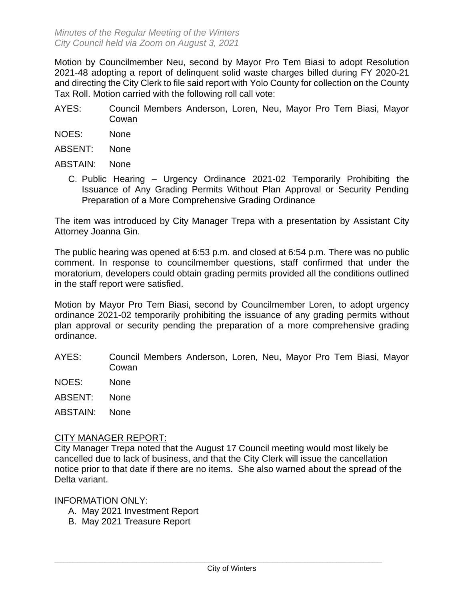Motion by Councilmember Neu, second by Mayor Pro Tem Biasi to adopt Resolution 2021-48 adopting a report of delinquent solid waste charges billed during FY 2020-21 and directing the City Clerk to file said report with Yolo County for collection on the County Tax Roll. Motion carried with the following roll call vote:

- AYES: Council Members Anderson, Loren, Neu, Mayor Pro Tem Biasi, Mayor Cowan
- NOES: None
- ABSENT: None
- ABSTAIN: None
	- C. Public Hearing Urgency Ordinance 2021-02 Temporarily Prohibiting the Issuance of Any Grading Permits Without Plan Approval or Security Pending Preparation of a More Comprehensive Grading Ordinance

The item was introduced by City Manager Trepa with a presentation by Assistant City Attorney Joanna Gin.

The public hearing was opened at 6:53 p.m. and closed at 6:54 p.m. There was no public comment. In response to councilmember questions, staff confirmed that under the moratorium, developers could obtain grading permits provided all the conditions outlined in the staff report were satisfied.

Motion by Mayor Pro Tem Biasi, second by Councilmember Loren, to adopt urgency ordinance 2021-02 temporarily prohibiting the issuance of any grading permits without plan approval or security pending the preparation of a more comprehensive grading ordinance.

- AYES: Council Members Anderson, Loren, Neu, Mayor Pro Tem Biasi, Mayor Cowan
- NOES: None
- ABSENT: None
- ABSTAIN: None

### CITY MANAGER REPORT:

City Manager Trepa noted that the August 17 Council meeting would most likely be cancelled due to lack of business, and that the City Clerk will issue the cancellation notice prior to that date if there are no items. She also warned about the spread of the Delta variant.

INFORMATION ONLY:

- A. May 2021 Investment Report
- B. May 2021 Treasure Report

\_\_\_\_\_\_\_\_\_\_\_\_\_\_\_\_\_\_\_\_\_\_\_\_\_\_\_\_\_\_\_\_\_\_\_\_\_\_\_\_\_\_\_\_\_\_\_\_\_\_\_\_\_\_\_\_\_\_\_\_\_\_\_\_\_\_\_\_\_\_\_\_